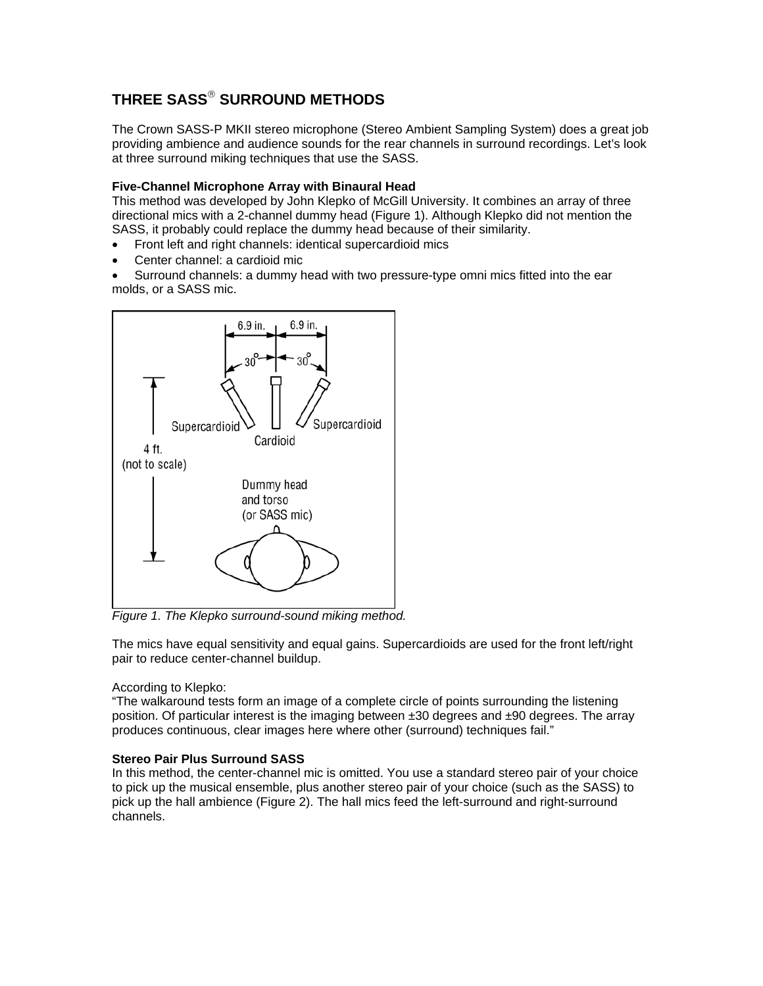# **THREE SASS**® **SURROUND METHODS**

The Crown SASS-P MKII stereo microphone (Stereo Ambient Sampling System) does a great job providing ambience and audience sounds for the rear channels in surround recordings. Let's look at three surround miking techniques that use the SASS.

## **Five-Channel Microphone Array with Binaural Head**

This method was developed by John Klepko of McGill University. It combines an array of three directional mics with a 2-channel dummy head (Figure 1). Although Klepko did not mention the SASS, it probably could replace the dummy head because of their similarity.

- Front left and right channels: identical supercardioid mics
- Center channel: a cardioid mic
- Surround channels: a dummy head with two pressure-type omni mics fitted into the ear molds, or a SASS mic.



*Figure 1. The Klepko surround-sound miking method.* 

The mics have equal sensitivity and equal gains. Supercardioids are used for the front left/right pair to reduce center-channel buildup.

## According to Klepko:

"The walkaround tests form an image of a complete circle of points surrounding the listening position. Of particular interest is the imaging between  $\pm 30$  degrees and  $\pm 90$  degrees. The array produces continuous, clear images here where other (surround) techniques fail."

## **Stereo Pair Plus Surround SASS**

In this method, the center-channel mic is omitted. You use a standard stereo pair of your choice to pick up the musical ensemble, plus another stereo pair of your choice (such as the SASS) to pick up the hall ambience (Figure 2). The hall mics feed the left-surround and right-surround channels.